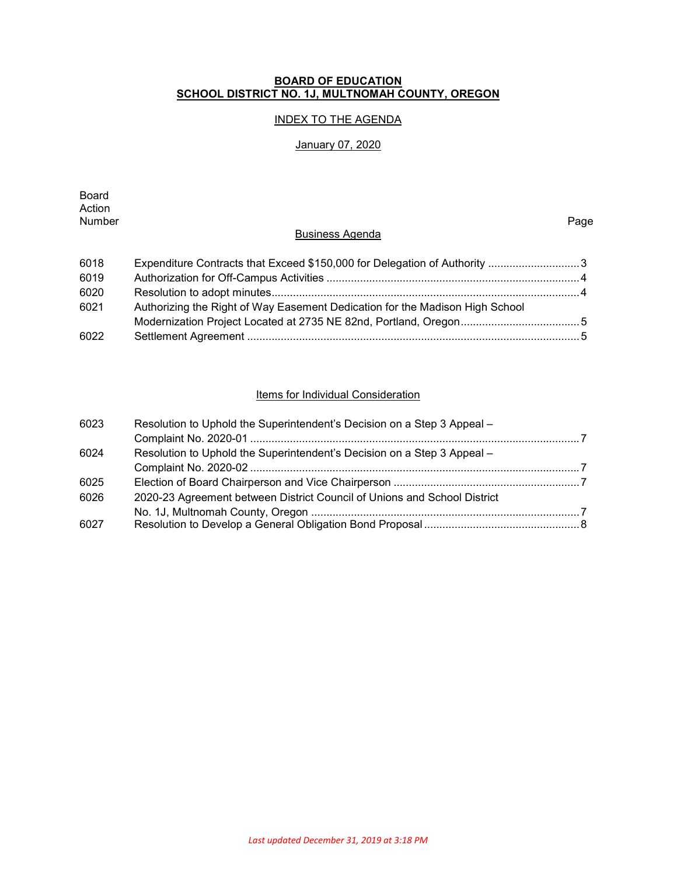#### **BOARD OF EDUCATION SCHOOL DISTRICT NO. 1J, MULTNOMAH COUNTY, OREGON**

## INDEX TO THE AGENDA

## January 07, 2020

Board Action<br>Number Number Page

#### Business Agenda

| 6018 |                                                                              |  |
|------|------------------------------------------------------------------------------|--|
| 6019 |                                                                              |  |
| 6020 |                                                                              |  |
| 6021 | Authorizing the Right of Way Easement Dedication for the Madison High School |  |
|      |                                                                              |  |
| 6022 |                                                                              |  |

#### Items for Individual Consideration

| 6023 | Resolution to Uphold the Superintendent's Decision on a Step 3 Appeal -  |  |
|------|--------------------------------------------------------------------------|--|
|      |                                                                          |  |
| 6024 | Resolution to Uphold the Superintendent's Decision on a Step 3 Appeal –  |  |
|      |                                                                          |  |
| 6025 |                                                                          |  |
| 6026 | 2020-23 Agreement between District Council of Unions and School District |  |
|      |                                                                          |  |
| 6027 |                                                                          |  |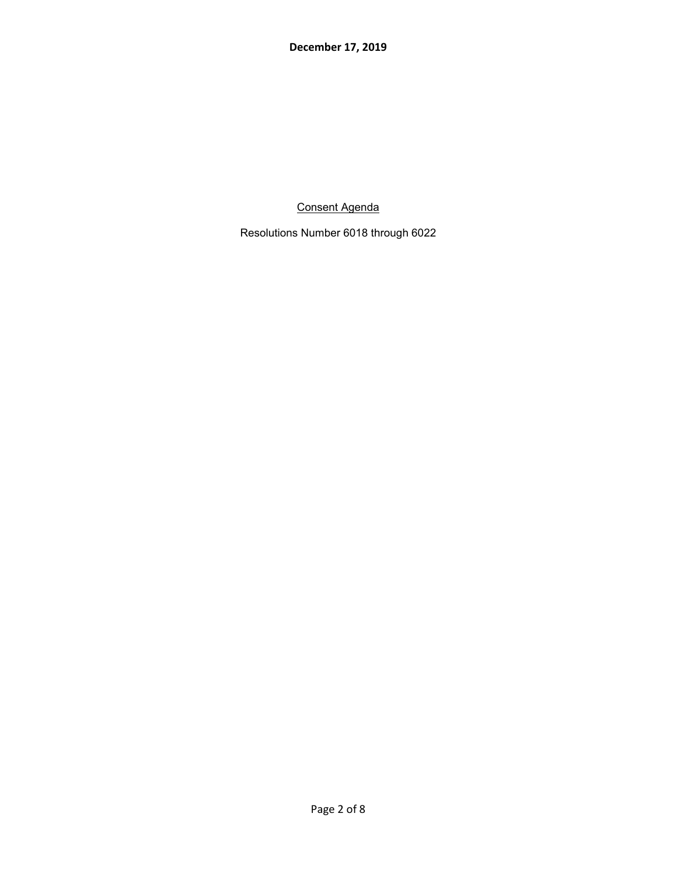Consent Agenda

Resolutions Number 6018 through 6022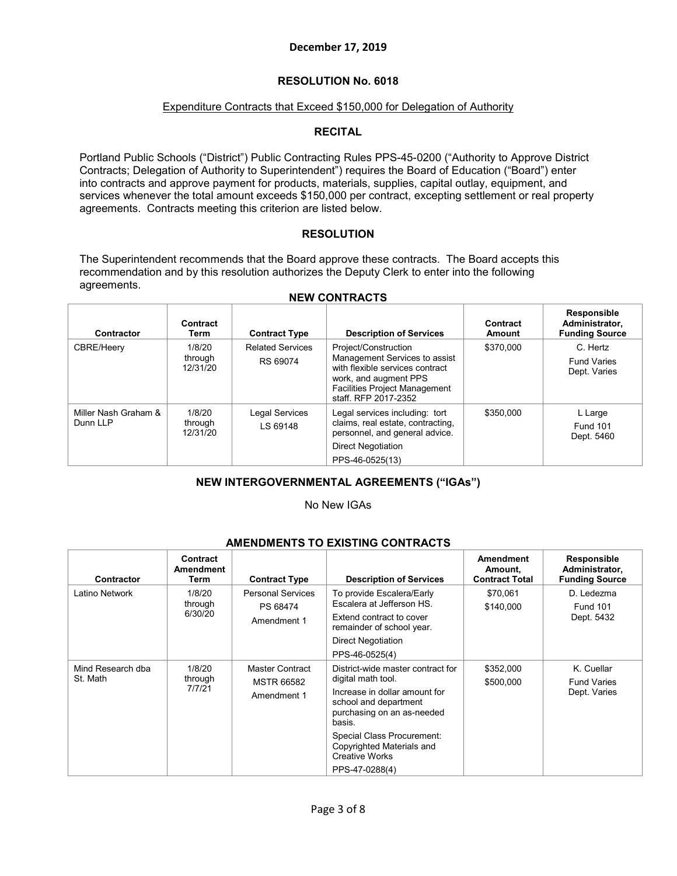## **RESOLUTION No. 6018**

## Expenditure Contracts that Exceed \$150,000 for Delegation of Authority

#### **RECITAL**

Portland Public Schools ("District") Public Contracting Rules PPS-45-0200 ("Authority to Approve District Contracts; Delegation of Authority to Superintendent") requires the Board of Education ("Board") enter into contracts and approve payment for products, materials, supplies, capital outlay, equipment, and services whenever the total amount exceeds \$150,000 per contract, excepting settlement or real property agreements. Contracts meeting this criterion are listed below.

#### **RESOLUTION**

The Superintendent recommends that the Board approve these contracts. The Board accepts this recommendation and by this resolution authorizes the Deputy Clerk to enter into the following agreements.

| Contractor                       | Contract<br>Term              | <b>Contract Type</b>                | <b>Description of Services</b>                                                                                                                                                    | Contract<br><b>Amount</b> | Responsible<br>Administrator,<br><b>Funding Source</b> |
|----------------------------------|-------------------------------|-------------------------------------|-----------------------------------------------------------------------------------------------------------------------------------------------------------------------------------|---------------------------|--------------------------------------------------------|
| CBRE/Heery                       | 1/8/20<br>through<br>12/31/20 | <b>Related Services</b><br>RS 69074 | Project/Construction<br>Management Services to assist<br>with flexible services contract<br>work, and augment PPS<br><b>Facilities Project Management</b><br>staff, RFP 2017-2352 | \$370,000                 | C. Hertz<br><b>Fund Varies</b><br>Dept. Varies         |
| Miller Nash Graham &<br>Dunn LLP | 1/8/20<br>through<br>12/31/20 | Legal Services<br>LS 69148          | Legal services including: tort<br>claims, real estate, contracting,<br>personnel, and general advice.<br><b>Direct Negotiation</b><br>PPS-46-0525(13)                             | \$350,000                 | L Large<br><b>Fund 101</b><br>Dept. 5460               |

#### **NEW CONTRACTS**

## **NEW INTERGOVERNMENTAL AGREEMENTS ("IGAs")**

#### No New IGAs

| AMENDMENTS TO EXISTING CONTRACTS |                                                                                     |                                                                                                                 |                                                                                                                                                                                                                                               |                                               |                                                               |  |
|----------------------------------|-------------------------------------------------------------------------------------|-----------------------------------------------------------------------------------------------------------------|-----------------------------------------------------------------------------------------------------------------------------------------------------------------------------------------------------------------------------------------------|-----------------------------------------------|---------------------------------------------------------------|--|
| <b>Contractor</b>                | Contract<br>Amendment<br>Term                                                       | <b>Contract Type</b>                                                                                            | <b>Description of Services</b>                                                                                                                                                                                                                | Amendment<br>Amount.<br><b>Contract Total</b> | <b>Responsible</b><br>Administrator,<br><b>Funding Source</b> |  |
| Latino Network                   | <b>Personal Services</b><br>1/8/20<br>through<br>PS 68474<br>6/30/20<br>Amendment 1 | To provide Escalera/Early<br>Escalera at Jefferson HS.<br>Extend contract to cover<br>remainder of school year. | \$70,061<br>\$140,000                                                                                                                                                                                                                         | D. Ledezma<br><b>Fund 101</b><br>Dept. 5432   |                                                               |  |
|                                  |                                                                                     |                                                                                                                 | <b>Direct Negotiation</b><br>PPS-46-0525(4)                                                                                                                                                                                                   |                                               |                                                               |  |
| Mind Research dba<br>St. Math    | 1/8/20<br>through<br>7/7/21                                                         | Master Contract<br><b>MSTR 66582</b><br>Amendment 1                                                             | District-wide master contract for<br>digital math tool.<br>Increase in dollar amount for<br>school and department<br>purchasing on an as-needed<br>basis.<br>Special Class Procurement:<br>Copyrighted Materials and<br><b>Creative Works</b> | \$352,000<br>\$500,000                        | K. Cuellar<br><b>Fund Varies</b><br>Dept. Varies              |  |
|                                  |                                                                                     |                                                                                                                 | PPS-47-0288(4)                                                                                                                                                                                                                                |                                               |                                                               |  |

# **AMENDMENTS TO EXISTING CONTRACTS**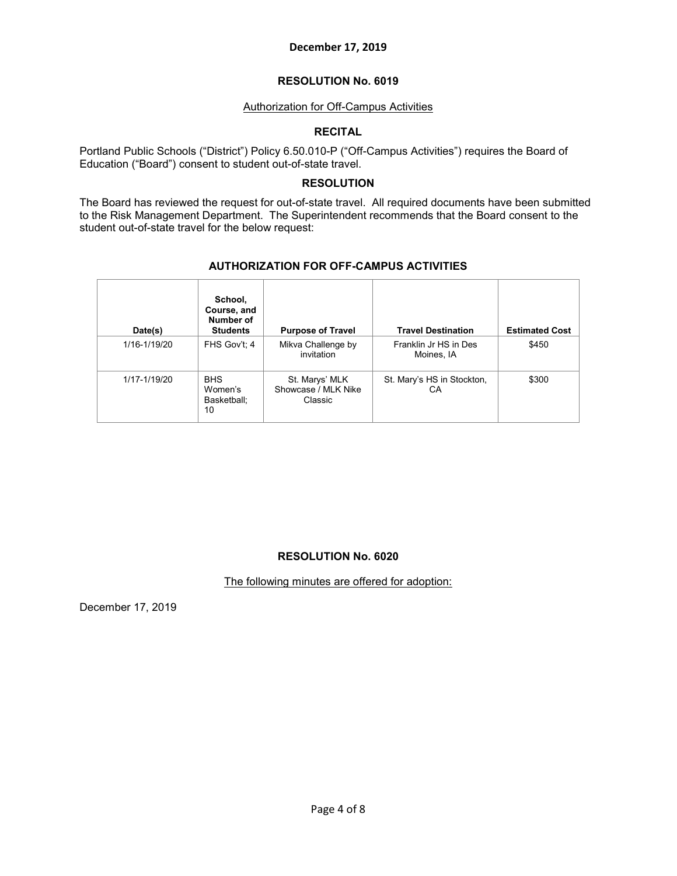#### **RESOLUTION No. 6019**

#### Authorization for Off-Campus Activities

#### **RECITAL**

Portland Public Schools ("District") Policy 6.50.010-P ("Off-Campus Activities") requires the Board of Education ("Board") consent to student out-of-state travel.

## **RESOLUTION**

The Board has reviewed the request for out-of-state travel. All required documents have been submitted to the Risk Management Department. The Superintendent recommends that the Board consent to the student out-of-state travel for the below request:

| Date(s)      | School,<br>Course, and<br>Number of<br><b>Students</b> | <b>Purpose of Travel</b>                         | <b>Travel Destination</b>           | <b>Estimated Cost</b> |
|--------------|--------------------------------------------------------|--------------------------------------------------|-------------------------------------|-----------------------|
| 1/16-1/19/20 | FHS Gov't: 4                                           | Mikva Challenge by<br>invitation                 | Franklin Jr HS in Des<br>Moines, IA | \$450                 |
| 1/17-1/19/20 | <b>BHS</b><br>Women's<br>Basketball:<br>10             | St. Marys' MLK<br>Showcase / MLK Nike<br>Classic | St. Mary's HS in Stockton,<br>СA    | \$300                 |

#### **AUTHORIZATION FOR OFF-CAMPUS ACTIVITIES**

## **RESOLUTION No. 6020**

The following minutes are offered for adoption:

December 17, 2019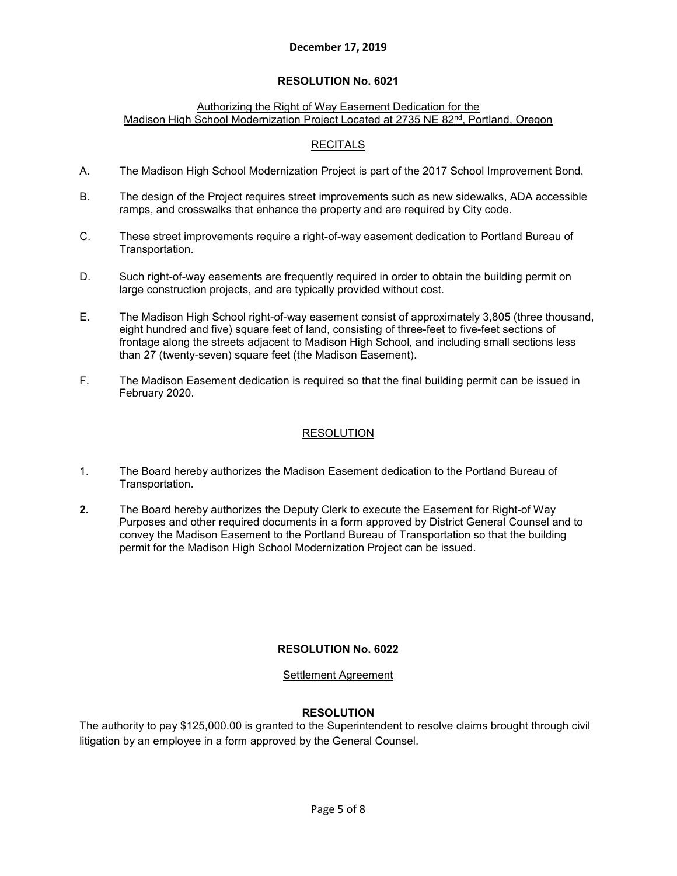## **RESOLUTION No. 6021**

### Authorizing the Right of Way Easement Dedication for the Madison High School Modernization Project Located at 2735 NE 82nd, Portland, Oregon

## **RECITALS**

- A. The Madison High School Modernization Project is part of the 2017 School Improvement Bond.
- B. The design of the Project requires street improvements such as new sidewalks, ADA accessible ramps, and crosswalks that enhance the property and are required by City code.
- C. These street improvements require a right-of-way easement dedication to Portland Bureau of Transportation.
- D. Such right-of-way easements are frequently required in order to obtain the building permit on large construction projects, and are typically provided without cost.
- E. The Madison High School right-of-way easement consist of approximately 3,805 (three thousand, eight hundred and five) square feet of land, consisting of three-feet to five-feet sections of frontage along the streets adjacent to Madison High School, and including small sections less than 27 (twenty-seven) square feet (the Madison Easement).
- F. The Madison Easement dedication is required so that the final building permit can be issued in February 2020.

## RESOLUTION

- 1. The Board hereby authorizes the Madison Easement dedication to the Portland Bureau of Transportation.
- **2.** The Board hereby authorizes the Deputy Clerk to execute the Easement for Right-of Way Purposes and other required documents in a form approved by District General Counsel and to convey the Madison Easement to the Portland Bureau of Transportation so that the building permit for the Madison High School Modernization Project can be issued.

## **RESOLUTION No. 6022**

## Settlement Agreement

## **RESOLUTION**

The authority to pay \$125,000.00 is granted to the Superintendent to resolve claims brought through civil litigation by an employee in a form approved by the General Counsel.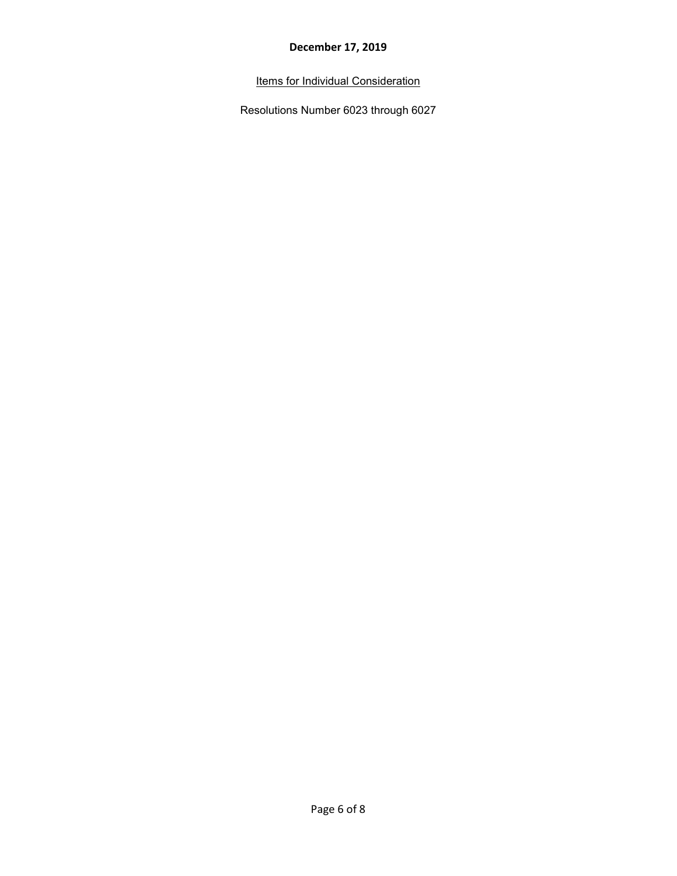Items for Individual Consideration

Resolutions Number 6023 through 6027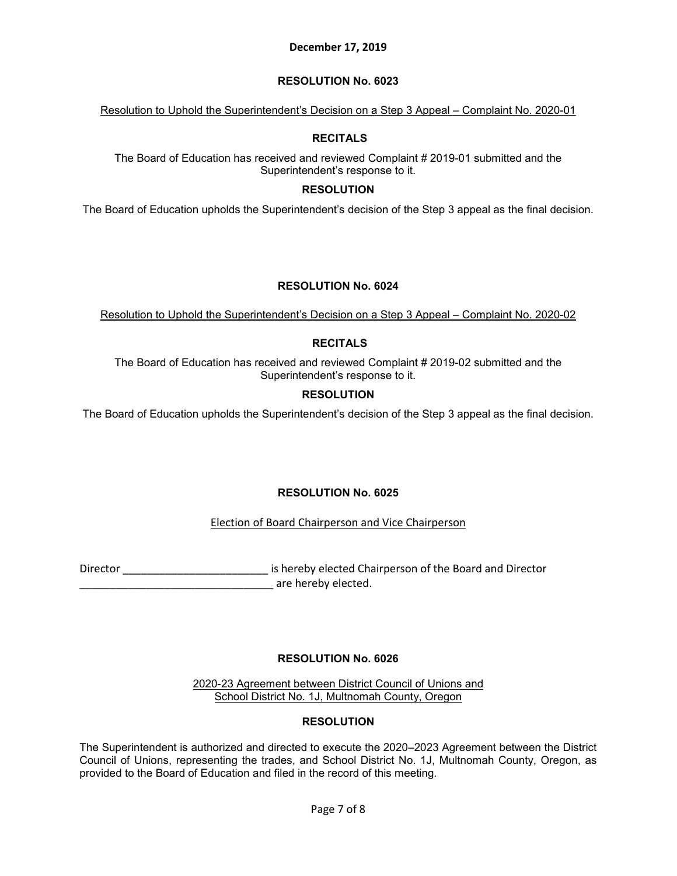## **RESOLUTION No. 6023**

Resolution to Uphold the Superintendent's Decision on a Step 3 Appeal – Complaint No. 2020-01

## **RECITALS**

The Board of Education has received and reviewed Complaint # 2019-01 submitted and the Superintendent's response to it.

## **RESOLUTION**

The Board of Education upholds the Superintendent's decision of the Step 3 appeal as the final decision.

# **RESOLUTION No. 6024**

Resolution to Uphold the Superintendent's Decision on a Step 3 Appeal – Complaint No. 2020-02

# **RECITALS**

The Board of Education has received and reviewed Complaint # 2019-02 submitted and the Superintendent's response to it.

## **RESOLUTION**

The Board of Education upholds the Superintendent's decision of the Step 3 appeal as the final decision.

# **RESOLUTION No. 6025**

# Election of Board Chairperson and Vice Chairperson

Director \_\_\_\_\_\_\_\_\_\_\_\_\_\_\_\_\_\_\_\_\_\_\_\_\_\_\_\_\_\_\_\_ is hereby elected Chairperson of the Board and Director \_\_\_\_\_\_\_\_\_\_\_\_\_\_\_\_\_\_\_\_\_\_\_\_\_\_\_\_\_\_\_\_ are hereby elected.

# **RESOLUTION No. 6026**

2020-23 Agreement between District Council of Unions and School District No. 1J, Multnomah County, Oregon

# **RESOLUTION**

The Superintendent is authorized and directed to execute the 2020–2023 Agreement between the District Council of Unions, representing the trades, and School District No. 1J, Multnomah County, Oregon, as provided to the Board of Education and filed in the record of this meeting.